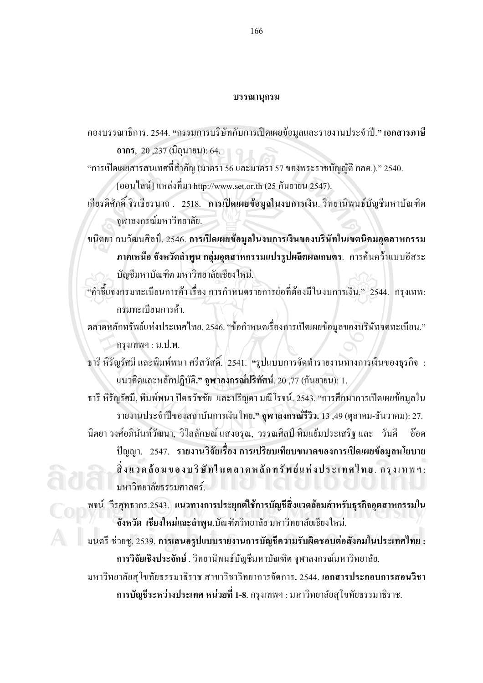## **---**

กองบรรณาธิการ. 2544. <del>"</del>กรรมการบริษัทกับการเปิดเผยข้อมูลและรายงานประจำปี." **เอกสารภาษี** 

**อากร**, 20 ,237 (มิถุนายน): 64.

"การเปิดเผยสารสนเทศที่สำคัญ (มาตรา 56 และมาตรา 57 ของพระราชบัญญัติ กลต.)." 2540. [ออน"ไลน์] แหล่งที่มา http://www.set.or.th (25 กันยายน 2547).

- เกียรติศักดิ์ จิรเธียรนาถ . 2518. **การเปิดเผยข้อมูลในงบการเงิน.** วิทยานิพนธ์บัญชีมหาบัณฑิต จุฬาลงกรณ์มหาวิทยาลัย.
- ขนิตยา ถมวัฒนศิลป์. 2546. **การเปิดเผยข้อมูลในงบการเงินของบริษัทในเขตนิคมอุตสาหกรรม** <mark>ภาคเหนือ จังหวัดลำพูน กลุ่มอุตสาหกรรมแปรรูปผลิตผลเกษตร. การค้นคว้าแบบอิสระ</mark> บัญชีมหาบัณฑิต มหาวิทยาลัยเชียงใหม่.
- "คำชี้แจงกรมทะเบียนการค้า เรื่อง การกำหนดรายการย่อที่ต้องมีในงบการเงิน." 2544. กรุงเทพ: กรมทะเบียนการค้า .

ตลาดหลักทรัพย์แห่งประเทศไทย. 2546. "ข้อกำหนดเรื่องการเปิดเผยข้อมูลของบริษัทจดทะเบียน." ึกรุงเทพฯ : ม.ป.พ.

ธารี หิรัญรัศมี และพิมพ์พนา ศรีสวัสดิ์. 2541. "รูปแบบการจัดทำรายงานทางการเงินของธุรกิจ : แนวคิดและหลักปฏิบัติ**." จุพาลงกรณ์ปริทัศน์**. 20 ,77 (กันยายน): 1.

ธารี หิรัญรัศมี, พิมพ์พนา ปิดธวัชชัย และปริญดา มณีโรจน์. 2543. "การศึกษาการเปิดเผยข้อมูลใน รายงานประจำปีของสถาบันการเงินไทย**." จุฬาลงกรณ์รีวิว.** 13 ,49 (ตุลาคม-ธันวาคม): 27. นิตยา วงศ์อภินันท์วัฒนา, วิไลลักษณ์ แสงอรุณ, วรรณศิลป์ ทิมแย้มประเสริฐ และ วันดี อ๊อด ปัญญา. 2547. รายงานวิจัยเรื่อง การเปรียบเทียบขนาดของการเปิดเผยข้อมูลนโยบาย **. ) % 

- " -' , )"( - 0  -1** . + E R : **ÅÔ¢ÊÔ·¸ÔìÁËÒÇÔ·ÂÒÅÑÂàªÕ§ãËÁè ÅÔ¢ÊÔ·¸ÔìÁËÒÇÔ·ÂÒÅÑÂàªÕ§ãËÁè** มหาวิทยาลัยธรรมศาสตร์.

ี 25สุทธากร.2543. แนวทางการประยุกต์ใช้การบัญชีสิ่งแวดล้อมสำหรับธุรกิจอุตสาหกรรมใน<br>- จังหวัด เชียงใหม่และลำพูน.บัณฑิตวิทยาลัย มหาวิทยาลัยเชียงใหม่. **จังหวัด เชียงใหม่และลำพูน**.บัณฑิตวิทยาลัย มหาวิทยาลัยเชียงใหม่.

มนตรี ช่วยชู. 2539. การเสนอรูปแบบรายงานการบัญชีความรับผิดชอบต่อสังคมในประเทศไทย **: การวิจัยเชิงประจักษ์** . วิทยานิพนธ์บัญชีมหาบัณฑิต จุฬาลงกรณ์มหาวิทยาลัย. **All rights reserved All rights reserved**

มหาวิทยาลัยสุโขทัยธรรมาธิราช สาขาวิชาวิทยาการจัดการ**.** 2544. <mark>เอกสารประกอบการสอนวิชา</mark> **การบัญชีระหว่างประเทศ หน่วยที่ 1-8**. กรุงเทพฯ : มหาวิทยาลัยสุโขทัยธรรมาธิราช.